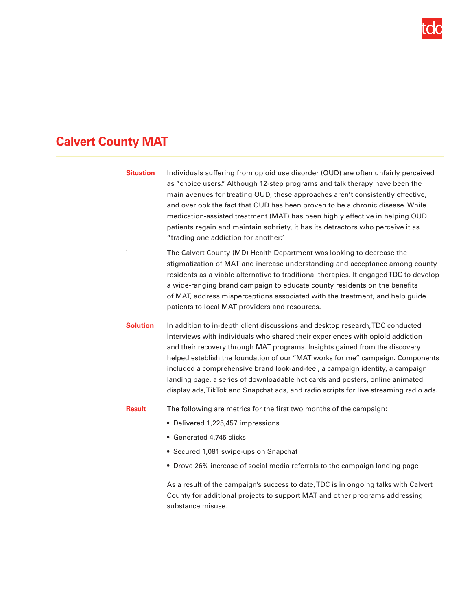

## **Calvert County MAT**

| <b>Situation</b> | Individuals suffering from opioid use disorder (OUD) are often unfairly perceived<br>as "choice users." Although 12-step programs and talk therapy have been the<br>main avenues for treating OUD, these approaches aren't consistently effective,<br>and overlook the fact that OUD has been proven to be a chronic disease. While<br>medication-assisted treatment (MAT) has been highly effective in helping OUD<br>patients regain and maintain sobriety, it has its detractors who perceive it as<br>"trading one addiction for another."                                               |
|------------------|----------------------------------------------------------------------------------------------------------------------------------------------------------------------------------------------------------------------------------------------------------------------------------------------------------------------------------------------------------------------------------------------------------------------------------------------------------------------------------------------------------------------------------------------------------------------------------------------|
|                  | The Calvert County (MD) Health Department was looking to decrease the<br>stigmatization of MAT and increase understanding and acceptance among county<br>residents as a viable alternative to traditional therapies. It engaged TDC to develop<br>a wide-ranging brand campaign to educate county residents on the benefits<br>of MAT, address misperceptions associated with the treatment, and help guide<br>patients to local MAT providers and resources.                                                                                                                                |
| <b>Solution</b>  | In addition to in-depth client discussions and desktop research, TDC conducted<br>interviews with individuals who shared their experiences with opioid addiction<br>and their recovery through MAT programs. Insights gained from the discovery<br>helped establish the foundation of our "MAT works for me" campaign. Components<br>included a comprehensive brand look-and-feel, a campaign identity, a campaign<br>landing page, a series of downloadable hot cards and posters, online animated<br>display ads, TikTok and Snapchat ads, and radio scripts for live streaming radio ads. |
| <b>Result</b>    | The following are metrics for the first two months of the campaign:<br>• Delivered 1,225,457 impressions<br>• Generated 4,745 clicks<br>• Secured 1,081 swipe-ups on Snapchat<br>• Drove 26% increase of social media referrals to the campaign landing page<br>As a result of the campaign's success to date, TDC is in ongoing talks with Calvert<br>County for additional projects to support MAT and other programs addressing                                                                                                                                                           |
|                  | substance misuse.                                                                                                                                                                                                                                                                                                                                                                                                                                                                                                                                                                            |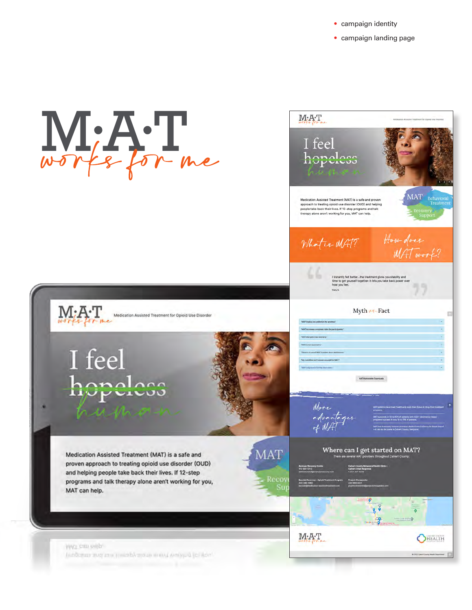- **•** campaign identity
- **•** campaign landing page

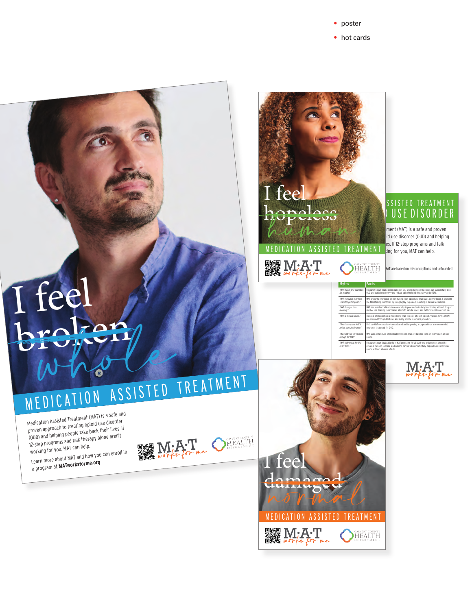**•** poster

**•** hot cards